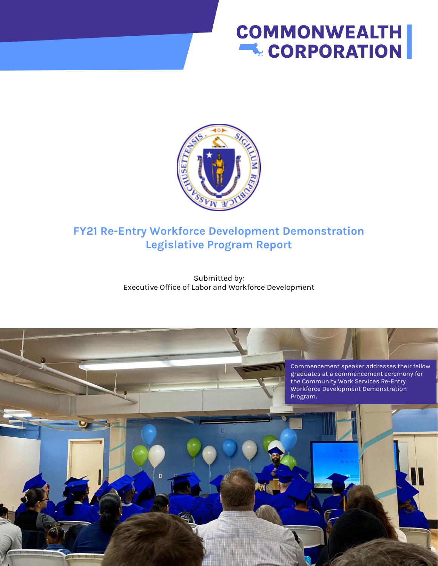# **COMMONWEALTH EL CORPORATION**



# **FY21 Re-Entry Workforce Development Demonstration Legislative Program Report**

Submitted by: Executive Office of Labor and Workforce Development

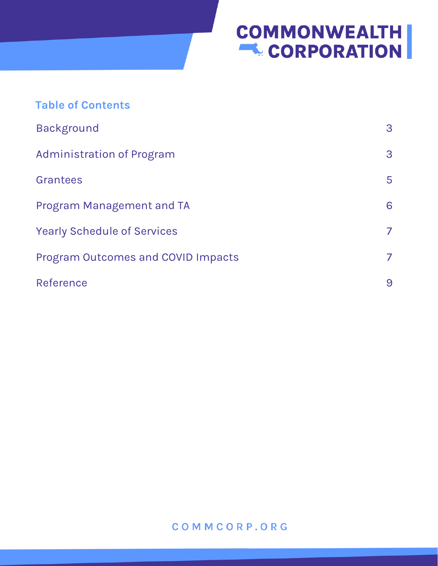# **COMMONWEALTH**

| <b>Table of Contents</b>                  |   |
|-------------------------------------------|---|
| <b>Background</b>                         | 3 |
| <b>Administration of Program</b>          | 3 |
| Grantees                                  | 5 |
| <b>Program Management and TA</b>          | 6 |
| <b>Yearly Schedule of Services</b>        | 7 |
| <b>Program Outcomes and COVID Impacts</b> | 7 |
| Reference                                 | 9 |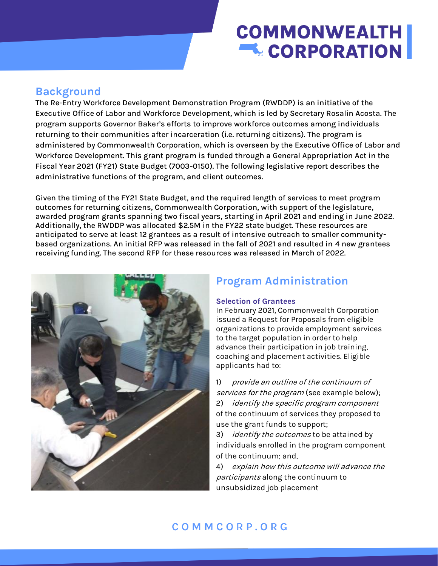# **COMMONWEALTH EL CORPORATION**

## **Background**

The Re-Entry Workforce Development Demonstration Program (RWDDP) is an initiative of the Executive Office of Labor and Workforce Development, which is led by Secretary Rosalin Acosta. The program supports Governor Baker's efforts to improve workforce outcomes among individuals returning to their communities after incarceration (i.e. returning citizens). The program is administered by Commonwealth Corporation, which is overseen by the Executive Office of Labor and Workforce Development. This grant program is funded through a General Appropriation Act in the Fiscal Year 2021 (FY21) State Budget (7003-0150). The following legislative report describes the administrative functions of the program, and client outcomes.

Given the timing of the FY21 State Budget, and the required length of services to meet program outcomes for returning citizens, Commonwealth Corporation, with support of the legislature, awarded program grants spanning two fiscal years, starting in April 2021 and ending in June 2022. Additionally, the RWDDP was allocated \$2.5M in the FY22 state budget. These resources are anticipated to serve at least 12 grantees as a result of intensive outreach to smaller communitybased organizations. An initial RFP was released in the fall of 2021 and resulted in 4 new grantees receiving funding. The second RFP for these resources was released in March of 2022.



# **Program Administration**

#### **Selection of Grantees**

In February 2021, Commonwealth Corporation issued a Request for Proposals from eligible organizations to provide employment services to the target population in order to help advance their participation in job training, coaching and placement activities. Eligible applicants had to:

1) provide an outline of the continuum of services for the program (see example below); 2) identify the specific program component of the continuum of services they proposed to use the grant funds to support;

3) *identify the outcomes* to be attained by individuals enrolled in the program component of the continuum; and,

4) explain how this outcome will advance the participants along the continuum to unsubsidized job placement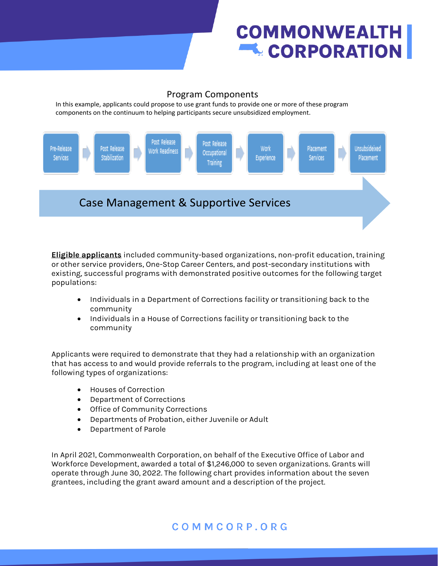# **COMMONWEALTH L** CORPORATION

### Program Components

In this example, applicants could propose to use grant funds to provide one or more of these program components on the continuum to helping participants secure unsubsidized employment.



**Eligible applicants** included community-based organizations, non-profit education, training or other service providers, One-Stop Career Centers, and post-secondary institutions with existing, successful programs with demonstrated positive outcomes for the following target populations:

- Individuals in a Department of Corrections facility or transitioning back to the community
- Individuals in a House of Corrections facility or transitioning back to the community

Applicants were required to demonstrate that they had a relationship with an organization that has access to and would provide referrals to the program, including at least one of the following types of organizations:

- Houses of Correction
- Department of Corrections
- Office of Community Corrections
- Departments of Probation, either Juvenile or Adult
- Department of Parole

In April 2021, Commonwealth Corporation, on behalf of the Executive Office of Labor and Workforce Development, awarded a total of \$1,246,000 to seven organizations. Grants will operate through June 30, 2022. The following chart provides information about the seven grantees, including the grant award amount and a description of the project.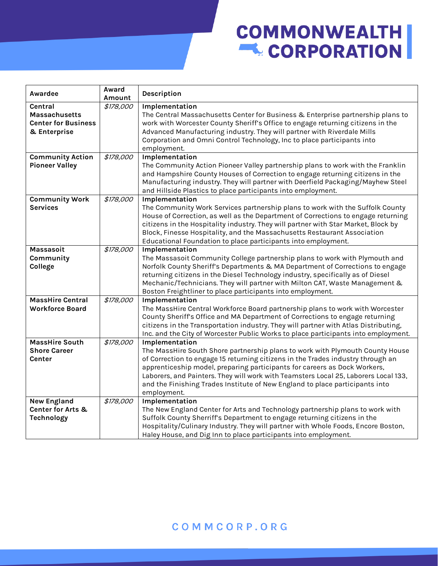# **COMMONWEALTH**

| Awardee                    | Award<br>Amount | Description                                                                         |  |  |
|----------------------------|-----------------|-------------------------------------------------------------------------------------|--|--|
| <b>Central</b>             | \$178,000       | Implementation                                                                      |  |  |
| <b>Massachusetts</b>       |                 | The Central Massachusetts Center for Business & Enterprise partnership plans to     |  |  |
| <b>Center for Business</b> |                 | work with Worcester County Sheriff's Office to engage returning citizens in the     |  |  |
| & Enterprise               |                 | Advanced Manufacturing industry. They will partner with Riverdale Mills             |  |  |
|                            |                 | Corporation and Omni Control Technology, Inc to place participants into             |  |  |
|                            |                 | employment.                                                                         |  |  |
| <b>Community Action</b>    | \$178,000       | Implementation                                                                      |  |  |
| <b>Pioneer Valley</b>      |                 | The Community Action Pioneer Valley partnership plans to work with the Franklin     |  |  |
|                            |                 | and Hampshire County Houses of Correction to engage returning citizens in the       |  |  |
|                            |                 | Manufacturing industry. They will partner with Deerfield Packaging/Mayhew Steel     |  |  |
|                            |                 | and Hillside Plastics to place participants into employment.                        |  |  |
| <b>Community Work</b>      | \$178,000       | Implementation                                                                      |  |  |
| <b>Services</b>            |                 | The Community Work Services partnership plans to work with the Suffolk County       |  |  |
|                            |                 | House of Correction, as well as the Department of Corrections to engage returning   |  |  |
|                            |                 | citizens in the Hospitality industry. They will partner with Star Market, Block by  |  |  |
|                            |                 | Block, Finesse Hospitality, and the Massachusetts Restaurant Association            |  |  |
|                            |                 | Educational Foundation to place participants into employment.                       |  |  |
| Massasoit                  | \$178,000       | Implementation                                                                      |  |  |
| Community                  |                 | The Massasoit Community College partnership plans to work with Plymouth and         |  |  |
| College                    |                 | Norfolk County Sheriff's Departments & MA Department of Corrections to engage       |  |  |
|                            |                 | returning citizens in the Diesel Technology industry, specifically as of Diesel     |  |  |
|                            |                 | Mechanic/Technicians. They will partner with Milton CAT, Waste Management &         |  |  |
|                            |                 | Boston Freightliner to place participants into employment.                          |  |  |
| <b>MassHire Central</b>    | \$178,000       | Implementation                                                                      |  |  |
| <b>Workforce Board</b>     |                 | The MassHire Central Workforce Board partnership plans to work with Worcester       |  |  |
|                            |                 | County Sheriff's Office and MA Department of Corrections to engage returning        |  |  |
|                            |                 | citizens in the Transportation industry. They will partner with Atlas Distributing, |  |  |
|                            |                 | Inc. and the City of Worcester Public Works to place participants into employment.  |  |  |
| <b>MassHire South</b>      | \$178,000       | Implementation                                                                      |  |  |
| <b>Shore Career</b>        |                 | The MassHire South Shore partnership plans to work with Plymouth County House       |  |  |
| Center                     |                 | of Correction to engage 15 returning citizens in the Trades industry through an     |  |  |
|                            |                 | apprenticeship model, preparing participants for careers as Dock Workers,           |  |  |
|                            |                 | Laborers, and Painters. They will work with Teamsters Local 25, Laborers Local 133, |  |  |
|                            |                 | and the Finishing Trades Institute of New England to place participants into        |  |  |
|                            |                 | employment.                                                                         |  |  |
| <b>New England</b>         | \$178,000       | Implementation                                                                      |  |  |
| Center for Arts &          |                 | The New England Center for Arts and Technology partnership plans to work with       |  |  |
| <b>Technology</b>          |                 | Suffolk County Sherriff's Department to engage returning citizens in the            |  |  |
|                            |                 | Hospitality/Culinary Industry. They will partner with Whole Foods, Encore Boston,   |  |  |
|                            |                 | Haley House, and Dig Inn to place participants into employment.                     |  |  |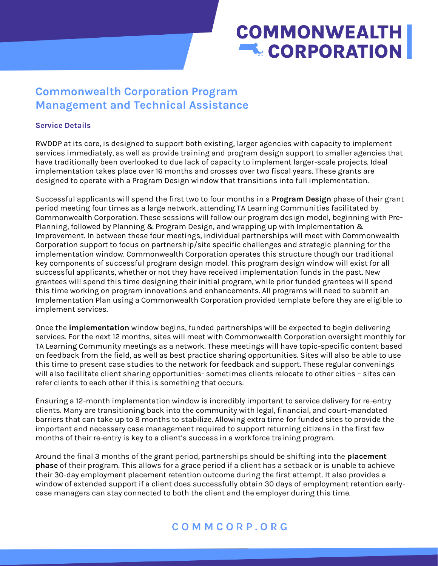# **COMMONWEALTH EL CORPORATION**

# **Commonwealth Corporation Program Management and Technical Assistance**

#### **Service Details**

RWDDP at its core, is designed to support both existing, larger agencies with capacity to implement services immediately, as well as provide training and program design support to smaller agencies that have traditionally been overlooked to due lack of capacity to implement larger-scale projects. Ideal implementation takes place over 16 months and crosses over two fiscal years. These grants are designed to operate with a Program Design window that transitions into full implementation.

Successful applicants will spend the first two to four months in a **Program Design** phase of their grant period meeting four times as a large network, attending TA Learning Communities facilitated by Commonwealth Corporation. These sessions will follow our program design model, beginning with Pre-Planning, followed by Planning & Program Design, and wrapping up with Implementation & Improvement. In between these four meetings, individual partnerships will meet with Commonwealth Corporation support to focus on partnership/site specific challenges and strategic planning for the implementation window. Commonwealth Corporation operates this structure though our traditional key components of successful program design model. This program design window will exist for all successful applicants, whether or not they have received implementation funds in the past. New grantees will spend this time designing their initial program, while prior funded grantees will spend this time working on program innovations and enhancements. All programs will need to submit an Implementation Plan using a Commonwealth Corporation provided template before they are eligible to implement services.

Once the **implementation** window begins, funded partnerships will be expected to begin delivering services. For the next 12 months, sites will meet with Commonwealth Corporation oversight monthly for TA Learning Community meetings as a network. These meetings will have topic-specific content based on feedback from the field, as well as best practice sharing opportunities. Sites will also be able to use this time to present case studies to the network for feedback and support. These regular convenings will also facilitate client sharing opportunities- sometimes clients relocate to other cities – sites can refer clients to each other if this is something that occurs.

Ensuring a 12-month implementation window is incredibly important to service delivery for re-entry clients. Many are transitioning back into the community with legal, financial, and court-mandated barriers that can take up to 8 months to stabilize. Allowing extra time for funded sites to provide the important and necessary case management required to support returning citizens in the first few months of their re-entry is key to a client's success in a workforce training program.

Around the final 3 months of the grant period, partnerships should be shifting into the **placement phase** of their program. This allows for a grace period if a client has a setback or is unable to achieve their 30-day employment placement retention outcome during the first attempt. It also provides a window of extended support if a client does successfully obtain 30 days of employment retention earlycase managers can stay connected to both the client and the employer during this time.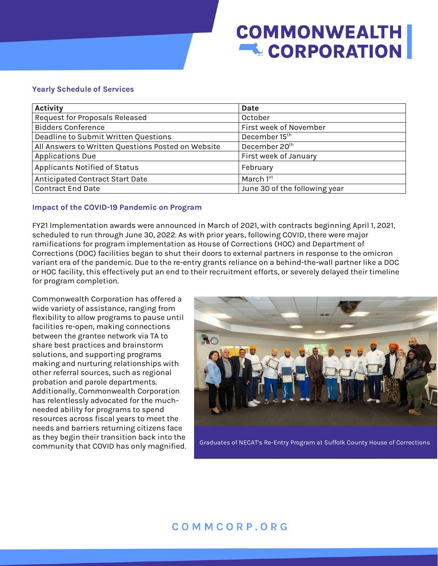# **COMMONWEALTH LCORPORATION**

#### **Yearly Schedule of Services**

| <b>Activity</b>                                    | Date                          |
|----------------------------------------------------|-------------------------------|
| Request for Proposals Released                     | October                       |
| <b>Bidders Conference</b>                          | First week of November        |
| Deadline to Submit Written Questions               | December 15 <sup>th</sup>     |
| All Answers to Written Questions Posted on Website | December 20 <sup>th</sup>     |
| <b>Applications Due</b>                            | First week of January         |
| Applicants Notified of Status                      | February                      |
| Anticipated Contract Start Date                    | March 1st                     |
| <b>Contract End Date</b>                           | June 30 of the following year |

#### **Impact of the COVID-19 Pandemic on Program**

FY21 Implementation awards were announced in March of 2021, with contracts beginning April 1, 2021, scheduled to run through June 30, 2022. As with prior years, following COVID, there were major ramifications for program implementation as House of Corrections (HOC) and Department of Corrections (DOC) facilities began to shut their doors to external partners in response to the omicron variant era of the pandemic. Due to the re-entry grants reliance on a behind-the-wall partner like a DOC or HOC facility, this effectively put an end to their recruitment efforts, or severely delayed their timeline for program completion.

Commonwealth Corporation has offered a wide variety of assistance, ranging from flexibility to allow programs to pause until facilities re-open, making connections between the grantee network via TA to share best practices and brainstorm solutions, and supporting programs making and nurturing relationships with other referral sources, such as regional probation and parole departments. Additionally, Commonwealth Corporation has relentlessly advocated for the muchneeded ability for programs to spend resources across fiscal years to meet the needs and barriers returning citizens face as they begin their transition back into the



community that COVID has only magnified. Graduates of NECAT's Re-Entry Program at Suffolk County House of Corrections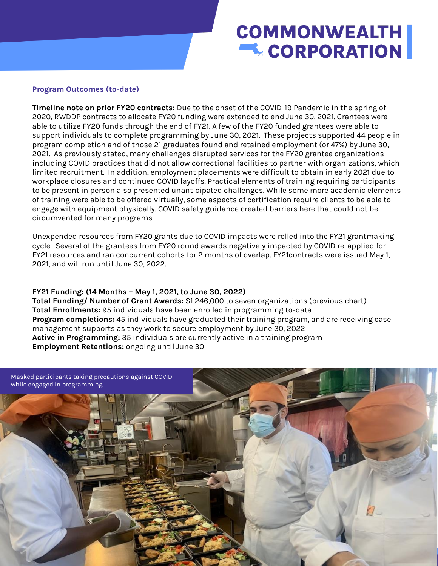# **COMMONWEALTH L** CORPORATION

#### **Program Outcomes (to-date)**

**Timeline note on prior FY20 contracts:** Due to the onset of the COVID-19 Pandemic in the spring of 2020, RWDDP contracts to allocate FY20 funding were extended to end June 30, 2021. Grantees were able to utilize FY20 funds through the end of FY21. A few of the FY20 funded grantees were able to support individuals to complete programming by June 30, 2021. These projects supported 44 people in program completion and of those 21 graduates found and retained employment (or 47%) by June 30, 2021. As previously stated, many challenges disrupted services for the FY20 grantee organizations including COVID practices that did not allow correctional facilities to partner with organizations, which limited recruitment. In addition, employment placements were difficult to obtain in early 2021 due to workplace closures and continued COVID layoffs. Practical elements of training requiring participants to be present in person also presented unanticipated challenges. While some more academic elements of training were able to be offered virtually, some aspects of certification require clients to be able to engage with equipment physically. COVID safety guidance created barriers here that could not be circumvented for many programs.

Unexpended resources from FY20 grants due to COVID impacts were rolled into the FY21 grantmaking cycle. Several of the grantees from FY20 round awards negatively impacted by COVID re-applied for FY21 resources and ran concurrent cohorts for 2 months of overlap. FY21contracts were issued May 1, 2021, and will run until June 30, 2022.

#### **FY21 Funding: (14 Months – May 1, 2021, to June 30, 2022)**

**Total Funding/ Number of Grant Awards:** \$1,246,000 to seven organizations (previous chart) **Total Enrollments:** 95 individuals have been enrolled in programming to-date **Program completions:** 45 individuals have graduated their training program, and are receiving case management supports as they work to secure employment by June 30, 2022 **Active in Programming:** 35 individuals are currently active in a training program **Employment Retentions:** ongoing until June 30